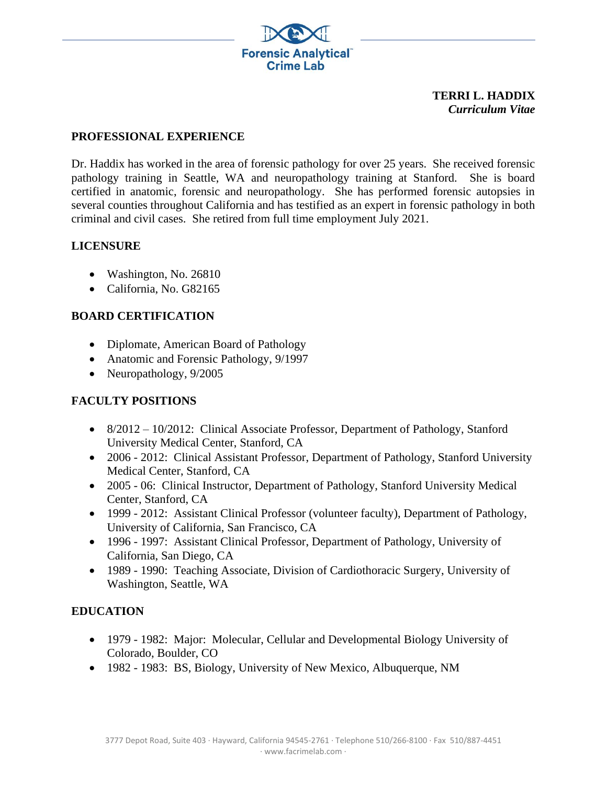

#### **TERRI L. HADDIX** *Curriculum Vitae*

### **PROFESSIONAL EXPERIENCE**

Dr. Haddix has worked in the area of forensic pathology for over 25 years. She received forensic pathology training in Seattle, WA and neuropathology training at Stanford. She is board certified in anatomic, forensic and neuropathology. She has performed forensic autopsies in several counties throughout California and has testified as an expert in forensic pathology in both criminal and civil cases. She retired from full time employment July 2021.

### **LICENSURE**

- Washington, No. 26810
- California, No. G82165

### **BOARD CERTIFICATION**

- Diplomate, American Board of Pathology
- Anatomic and Forensic Pathology, 9/1997
- Neuropathology, 9/2005

# **FACULTY POSITIONS**

- 8/2012 10/2012: Clinical Associate Professor, Department of Pathology, Stanford University Medical Center, Stanford, CA
- 2006 2012: Clinical Assistant Professor, Department of Pathology, Stanford University Medical Center, Stanford, CA
- 2005 06: Clinical Instructor, Department of Pathology, Stanford University Medical Center, Stanford, CA
- 1999 2012: Assistant Clinical Professor (volunteer faculty), Department of Pathology, University of California, San Francisco, CA
- 1996 1997: Assistant Clinical Professor, Department of Pathology, University of California, San Diego, CA
- 1989 1990: Teaching Associate, Division of Cardiothoracic Surgery, University of Washington, Seattle, WA

# **EDUCATION**

- 1979 1982: Major: Molecular, Cellular and Developmental Biology University of Colorado, Boulder, CO
- 1982 1983: BS, Biology, University of New Mexico, Albuquerque, NM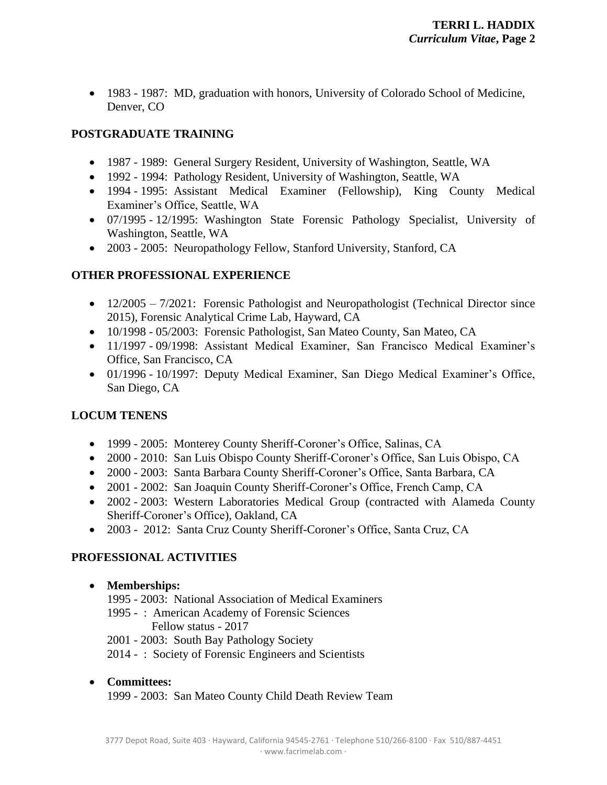• 1983 - 1987: MD, graduation with honors, University of Colorado School of Medicine, Denver, CO

# **POSTGRADUATE TRAINING**

- 1987 1989: General Surgery Resident, University of Washington, Seattle, WA
- 1992 1994: Pathology Resident, University of Washington, Seattle, WA
- 1994 1995: Assistant Medical Examiner (Fellowship), King County Medical Examiner's Office, Seattle, WA
- 07/1995 12/1995: Washington State Forensic Pathology Specialist, University of Washington, Seattle, WA
- 2003 2005: Neuropathology Fellow, Stanford University, Stanford, CA

# **OTHER PROFESSIONAL EXPERIENCE**

- 12/2005 7/2021: Forensic Pathologist and Neuropathologist (Technical Director since 2015), Forensic Analytical Crime Lab, Hayward, CA
- 10/1998 05/2003: Forensic Pathologist, San Mateo County, San Mateo, CA
- 11/1997 09/1998: Assistant Medical Examiner, San Francisco Medical Examiner's Office, San Francisco, CA
- 01/1996 10/1997: Deputy Medical Examiner, San Diego Medical Examiner's Office, San Diego, CA

# **LOCUM TENENS**

- 1999 2005: Monterey County Sheriff-Coroner's Office, Salinas, CA
- 2000 2010: San Luis Obispo County Sheriff-Coroner's Office, San Luis Obispo, CA
- 2000 2003: Santa Barbara County Sheriff-Coroner's Office, Santa Barbara, CA
- 2001 2002: San Joaquin County Sheriff-Coroner's Office, French Camp, CA
- 2002 2003: Western Laboratories Medical Group (contracted with Alameda County Sheriff-Coroner's Office), Oakland, CA
- 2003 2012: Santa Cruz County Sheriff-Coroner's Office, Santa Cruz, CA

# **PROFESSIONAL ACTIVITIES**

### • **Memberships:**

- 1995 2003: National Association of Medical Examiners
- 1995 : American Academy of Forensic Sciences
	- Fellow status 2017
- 2001 2003: South Bay Pathology Society
- 2014 : Society of Forensic Engineers and Scientists
- **Committees:** 1999 - 2003: San Mateo County Child Death Review Team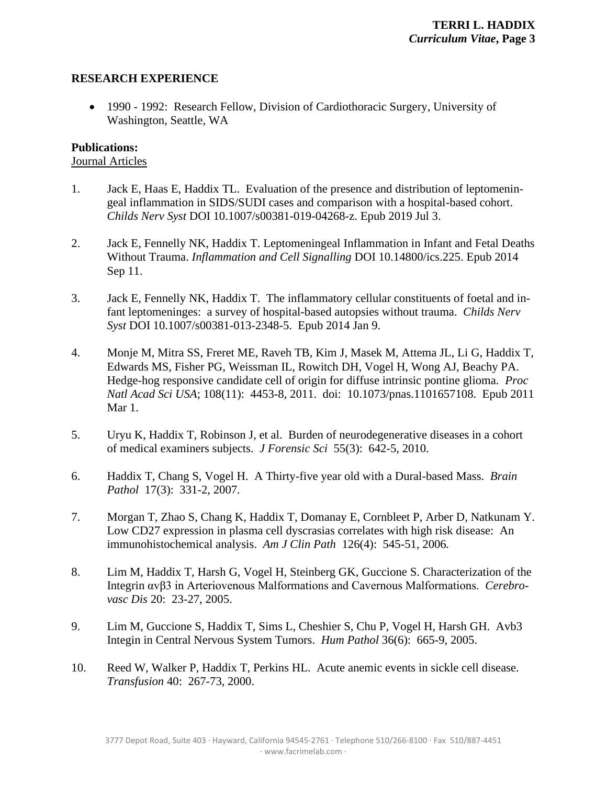### **RESEARCH EXPERIENCE**

• 1990 - 1992: Research Fellow, Division of Cardiothoracic Surgery, University of Washington, Seattle, WA

#### **Publications:**

#### Journal Articles

- 1. Jack E, Haas E, Haddix TL. Evaluation of the presence and distribution of leptomeningeal inflammation in SIDS/SUDI cases and comparison with a hospital-based cohort. *Childs Nerv Syst* DOI 10.1007/s00381-019-04268-z. Epub 2019 Jul 3.
- 2. Jack E, Fennelly NK, Haddix T. Leptomeningeal Inflammation in Infant and Fetal Deaths Without Trauma. *Inflammation and Cell Signalling* DOI 10.14800/ics.225. Epub 2014 Sep 11.
- 3. Jack E, Fennelly NK, Haddix T. The inflammatory cellular constituents of foetal and infant leptomeninges: a survey of hospital-based autopsies without trauma. *Childs Nerv Syst* DOI 10.1007/s00381-013-2348-5. Epub 2014 Jan 9.
- 4. Monje M, Mitra SS, Freret ME, Raveh TB, Kim J, Masek M, Attema JL, Li G, Haddix T, Edwards MS, Fisher PG, Weissman IL, Rowitch DH, Vogel H, Wong AJ, Beachy PA. Hedge-hog responsive candidate cell of origin for diffuse intrinsic pontine glioma. *Proc Natl Acad Sci USA*; 108(11): 4453-8, 2011. doi: 10.1073/pnas.1101657108. Epub 2011 Mar 1.
- 5. Uryu K, Haddix T, Robinson J, et al. Burden of neurodegenerative diseases in a cohort of medical examiners subjects. *J Forensic Sci* 55(3): 642-5, 2010.
- 6. Haddix T, Chang S, Vogel H. A Thirty-five year old with a Dural-based Mass. *Brain Pathol* 17(3): 331-2, 2007*.*
- 7. Morgan T, Zhao S, Chang K, Haddix T, Domanay E, Cornbleet P, Arber D, Natkunam Y. Low CD27 expression in plasma cell dyscrasias correlates with high risk disease: An immunohistochemical analysis. *Am J Clin Path* 126(4): 545-51, 2006*.*
- 8. Lim M, Haddix T, Harsh G, Vogel H, Steinberg GK, Guccione S. Characterization of the Integrin αvβ3 in Arteriovenous Malformations and Cavernous Malformations. *Cerebrovasc Dis* 20: 23-27, 2005.
- 9. Lim M, Guccione S, Haddix T, Sims L, Cheshier S, Chu P, Vogel H, Harsh GH. Avb3 Integin in Central Nervous System Tumors. *Hum Pathol* 36(6): 665-9, 2005.
- 10. Reed W, Walker P, Haddix T, Perkins HL. Acute anemic events in sickle cell disease. *Transfusion* 40: 267-73, 2000.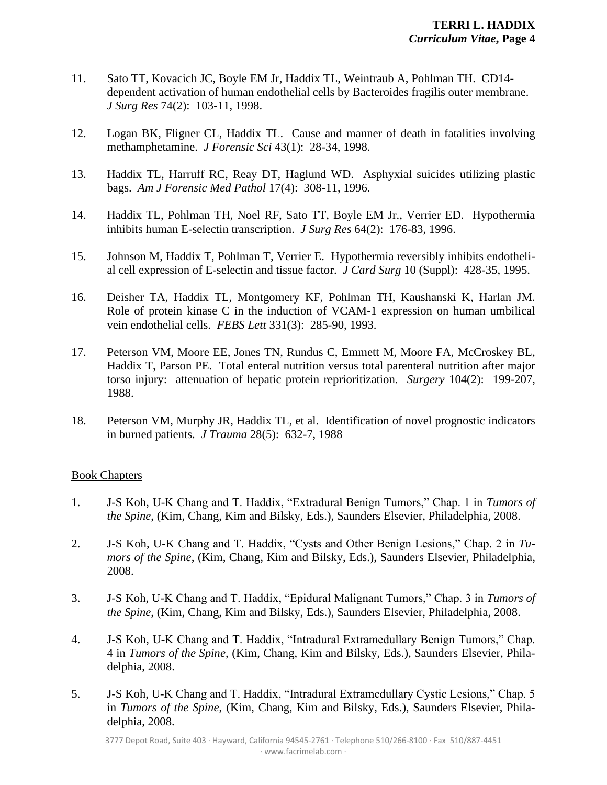- 11. Sato TT, Kovacich JC, Boyle EM Jr, Haddix TL, Weintraub A, Pohlman TH. CD14 dependent activation of human endothelial cells by Bacteroides fragilis outer membrane. *J Surg Res* 74(2): 103-11, 1998.
- 12. Logan BK, Fligner CL, Haddix TL. Cause and manner of death in fatalities involving methamphetamine. *J Forensic Sci* 43(1): 28-34, 1998.
- 13. Haddix TL, Harruff RC, Reay DT, Haglund WD. Asphyxial suicides utilizing plastic bags. *Am J Forensic Med Pathol* 17(4): 308-11, 1996.
- 14. Haddix TL, Pohlman TH, Noel RF, Sato TT, Boyle EM Jr., Verrier ED. Hypothermia inhibits human E-selectin transcription. *J Surg Res* 64(2): 176-83, 1996.
- 15. Johnson M, Haddix T, Pohlman T, Verrier E. Hypothermia reversibly inhibits endothelial cell expression of E-selectin and tissue factor. *J Card Surg* 10 (Suppl): 428-35, 1995.
- 16. Deisher TA, Haddix TL, Montgomery KF, Pohlman TH, Kaushanski K, Harlan JM. Role of protein kinase C in the induction of VCAM-1 expression on human umbilical vein endothelial cells. *FEBS Lett* 331(3): 285-90, 1993.
- 17. Peterson VM, Moore EE, Jones TN, Rundus C, Emmett M, Moore FA, McCroskey BL, Haddix T, Parson PE. Total enteral nutrition versus total parenteral nutrition after major torso injury: attenuation of hepatic protein reprioritization. *Surgery* 104(2): 199-207, 1988.
- 18. Peterson VM, Murphy JR, Haddix TL, et al. Identification of novel prognostic indicators in burned patients. *J Trauma* 28(5): 632-7, 1988

#### Book Chapters

- 1. J-S Koh, U-K Chang and T. Haddix, "Extradural Benign Tumors," Chap. 1 in *Tumors of the Spine*, (Kim, Chang, Kim and Bilsky, Eds.), Saunders Elsevier, Philadelphia, 2008.
- 2. J-S Koh, U-K Chang and T. Haddix, "Cysts and Other Benign Lesions," Chap. 2 in *Tumors of the Spine*, (Kim, Chang, Kim and Bilsky, Eds.), Saunders Elsevier, Philadelphia, 2008.
- 3. J-S Koh, U-K Chang and T. Haddix, "Epidural Malignant Tumors," Chap. 3 in *Tumors of the Spine*, (Kim, Chang, Kim and Bilsky, Eds.), Saunders Elsevier, Philadelphia, 2008.
- 4. J-S Koh, U-K Chang and T. Haddix, "Intradural Extramedullary Benign Tumors," Chap. 4 in *Tumors of the Spine*, (Kim, Chang, Kim and Bilsky, Eds.), Saunders Elsevier, Philadelphia, 2008.
- 5. J-S Koh, U-K Chang and T. Haddix, "Intradural Extramedullary Cystic Lesions," Chap. 5 in *Tumors of the Spine*, (Kim, Chang, Kim and Bilsky, Eds.), Saunders Elsevier, Philadelphia, 2008.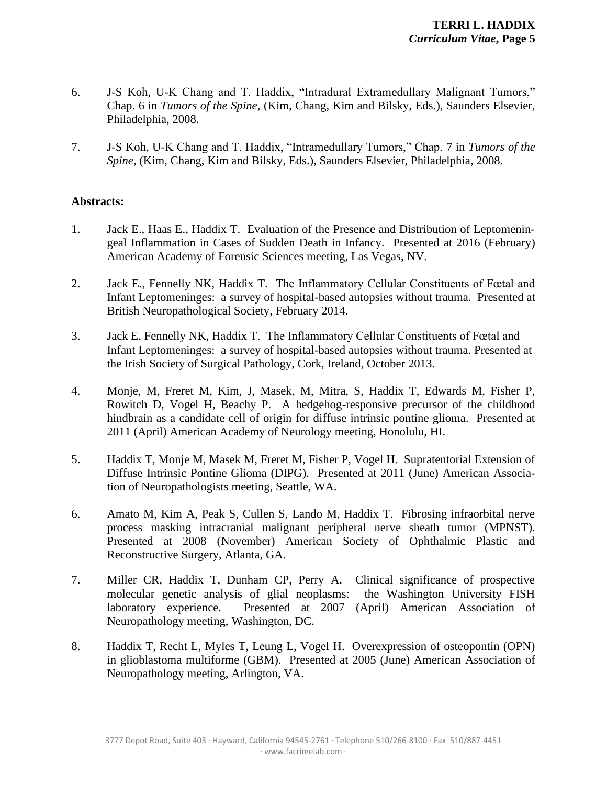- 6. J-S Koh, U-K Chang and T. Haddix, "Intradural Extramedullary Malignant Tumors," Chap. 6 in *Tumors of the Spine*, (Kim, Chang, Kim and Bilsky, Eds.), Saunders Elsevier, Philadelphia, 2008.
- 7. J-S Koh, U-K Chang and T. Haddix, "Intramedullary Tumors," Chap. 7 in *Tumors of the Spine*, (Kim, Chang, Kim and Bilsky, Eds.), Saunders Elsevier, Philadelphia, 2008.

#### **Abstracts:**

- 1. Jack E., Haas E., Haddix T. Evaluation of the Presence and Distribution of Leptomeningeal Inflammation in Cases of Sudden Death in Infancy. Presented at 2016 (February) American Academy of Forensic Sciences meeting, Las Vegas, NV.
- 2. Jack E., Fennelly NK, Haddix T. The Inflammatory Cellular Constituents of Fœtal and Infant Leptomeninges: a survey of hospital-based autopsies without trauma. Presented at British Neuropathological Society, February 2014.
- 3. Jack E, Fennelly NK, Haddix T. The Inflammatory Cellular Constituents of Fœtal and Infant Leptomeninges: a survey of hospital-based autopsies without trauma. Presented at the Irish Society of Surgical Pathology, Cork, Ireland, October 2013.
- 4. Monje, M, Freret M, Kim, J, Masek, M, Mitra, S, Haddix T, Edwards M, Fisher P, Rowitch D, Vogel H, Beachy P. A hedgehog-responsive precursor of the childhood hindbrain as a candidate cell of origin for diffuse intrinsic pontine glioma. Presented at 2011 (April) American Academy of Neurology meeting, Honolulu, HI.
- 5. Haddix T, Monje M, Masek M, Freret M, Fisher P, Vogel H. Supratentorial Extension of Diffuse Intrinsic Pontine Glioma (DIPG). Presented at 2011 (June) American Association of Neuropathologists meeting, Seattle, WA.
- 6. Amato M, Kim A, Peak S, Cullen S, Lando M, Haddix T. Fibrosing infraorbital nerve process masking intracranial malignant peripheral nerve sheath tumor (MPNST). Presented at 2008 (November) American Society of Ophthalmic Plastic and Reconstructive Surgery, Atlanta, GA.
- 7. Miller CR, Haddix T, Dunham CP, Perry A. Clinical significance of prospective molecular genetic analysis of glial neoplasms: the Washington University FISH laboratory experience. Presented at 2007 (April) American Association of Neuropathology meeting, Washington, DC.
- 8. Haddix T, Recht L, Myles T, Leung L, Vogel H. Overexpression of osteopontin (OPN) in glioblastoma multiforme (GBM). Presented at 2005 (June) American Association of Neuropathology meeting, Arlington, VA.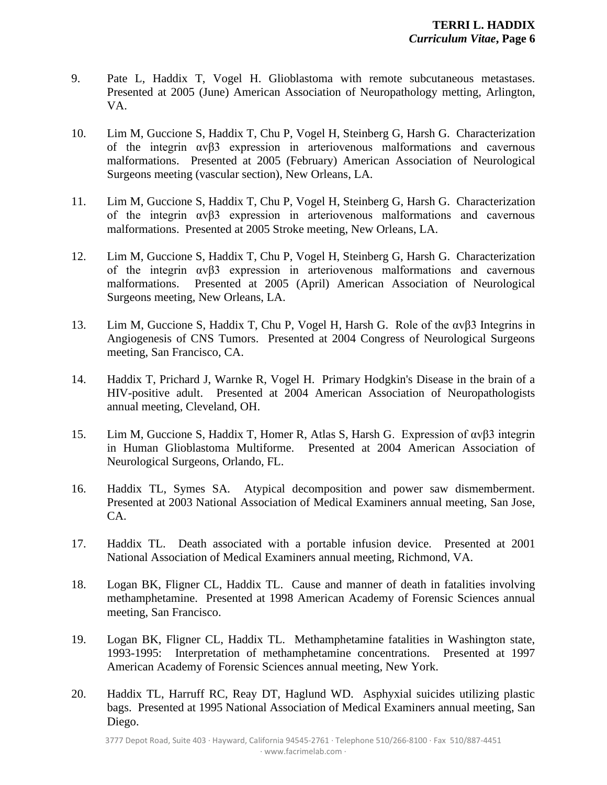- 9. Pate L, Haddix T, Vogel H. Glioblastoma with remote subcutaneous metastases. Presented at 2005 (June) American Association of Neuropathology metting, Arlington, VA.
- 10. Lim M, Guccione S, Haddix T, Chu P, Vogel H, Steinberg G, Harsh G. Characterization of the integrin αvβ3 expression in arteriovenous malformations and cavernous malformations. Presented at 2005 (February) American Association of Neurological Surgeons meeting (vascular section), New Orleans, LA.
- 11. Lim M, Guccione S, Haddix T, Chu P, Vogel H, Steinberg G, Harsh G. Characterization of the integrin αvβ3 expression in arteriovenous malformations and cavernous malformations. Presented at 2005 Stroke meeting, New Orleans, LA.
- 12. Lim M, Guccione S, Haddix T, Chu P, Vogel H, Steinberg G, Harsh G. Characterization of the integrin αvβ3 expression in arteriovenous malformations and cavernous malformations. Presented at 2005 (April) American Association of Neurological Surgeons meeting, New Orleans, LA.
- 13. Lim M, Guccione S, Haddix T, Chu P, Vogel H, Harsh G. Role of the αvβ3 Integrins in Angiogenesis of CNS Tumors. Presented at 2004 Congress of Neurological Surgeons meeting, San Francisco, CA.
- 14. Haddix T, Prichard J, Warnke R, Vogel H. Primary Hodgkin's Disease in the brain of a HIV-positive adult. Presented at 2004 American Association of Neuropathologists annual meeting, Cleveland, OH.
- 15. Lim M, Guccione S, Haddix T, Homer R, Atlas S, Harsh G. Expression of αvβ3 integrin in Human Glioblastoma Multiforme. Presented at 2004 American Association of Neurological Surgeons, Orlando, FL.
- 16. Haddix TL, Symes SA. Atypical decomposition and power saw dismemberment. Presented at 2003 National Association of Medical Examiners annual meeting, San Jose, CA.
- 17. Haddix TL. Death associated with a portable infusion device. Presented at 2001 National Association of Medical Examiners annual meeting, Richmond, VA.
- 18. Logan BK, Fligner CL, Haddix TL. Cause and manner of death in fatalities involving methamphetamine. Presented at 1998 American Academy of Forensic Sciences annual meeting, San Francisco.
- 19. Logan BK, Fligner CL, Haddix TL. Methamphetamine fatalities in Washington state, 1993-1995: Interpretation of methamphetamine concentrations. Presented at 1997 American Academy of Forensic Sciences annual meeting, New York.
- 20. Haddix TL, Harruff RC, Reay DT, Haglund WD. Asphyxial suicides utilizing plastic bags. Presented at 1995 National Association of Medical Examiners annual meeting, San Diego.